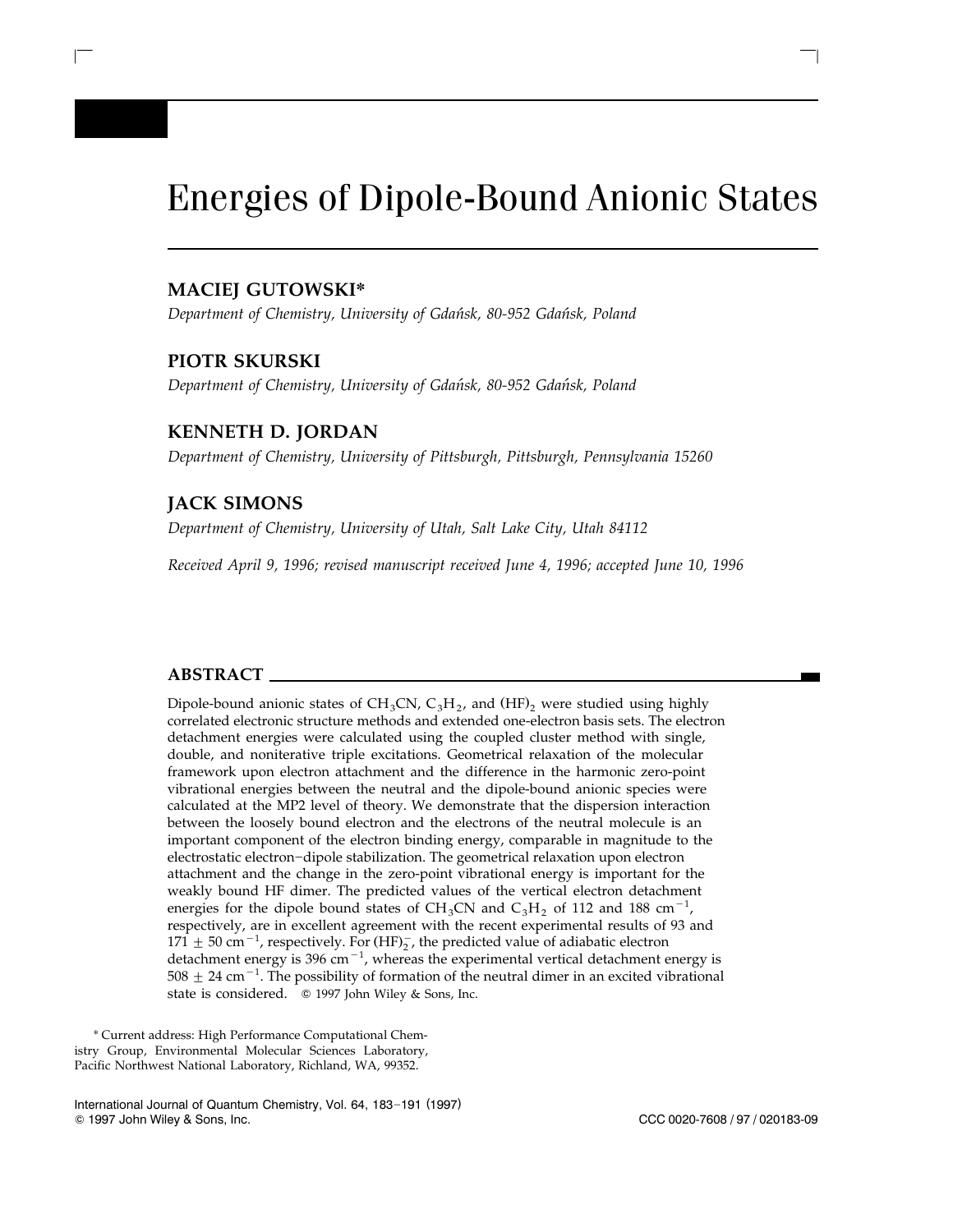# Energies of Dipole-Bound Anionic States

 $\mathcal{L} = \{ \mathcal{L} \mid \mathcal{L} \in \mathcal{L} \}$  , where  $\mathcal{L} = \{ \mathcal{L} \mid \mathcal{L} \in \mathcal{L} \}$  , where  $\mathcal{L} = \{ \mathcal{L} \mid \mathcal{L} \in \mathcal{L} \}$ 

# **MACIEJ GUTOWSKI\***

*Department of Chemistry, University of Gdansk, 80-952 Gdansk, Poland* ´ ´

# **PIOTR SKURSKI**

I

*Department of Chemistry, University of Gdansk, 80-952 Gdansk, Poland* ´ ´

# **KENNETH D. JORDAN**

*Department of Chemistry, University of Pittsburgh, Pittsburgh, Pennsylvania 15260*

# **JACK SIMONS**

*Department of Chemistry, University of Utah, Salt Lake City, Utah 84112*

*Received April 9, 1996; revised manuscript received June 4, 1996; accepted June 10, 1996*

# **ABSTRACT**

Dipole-bound anionic states of CH<sub>3</sub>CN, C<sub>3</sub>H<sub>2</sub>, and (HF)<sub>2</sub> were studied using highly correlated electronic structure methods and extended one-electron basis sets. The electron detachment energies were calculated using the coupled cluster method with single, double, and noniterative triple excitations. Geometrical relaxation of the molecular framework upon electron attachment and the difference in the harmonic zero-point vibrational energies between the neutral and the dipole-bound anionic species were calculated at the MP2 level of theory. We demonstrate that the dispersion interaction between the loosely bound electron and the electrons of the neutral molecule is an important component of the electron binding energy, comparable in magnitude to the electrostatic electron-dipole stabilization. The geometrical relaxation upon electron attachment and the change in the zero-point vibrational energy is important for the weakly bound HF dimer. The predicted values of the vertical electron detachment energies for the dipole bound states of  $CH_3CN$  and  $C_3H_2$  of 112 and 188 cm<sup>-1</sup>, respectively, are in excellent agreement with the recent experimental results of 93 and 171  $\pm$  50 cm<sup>-1</sup>, respectively. For (HF)<sub>2</sub>, the predicted value of adiabatic electron detachment energy is 396 cm $^{-1}$ , whereas the experimental vertical detachment energy is  $508 \pm 24$  cm<sup>-1</sup>. The possibility of formation of the neutral dimer in an excited vibrational state is considered.  $\circ$  1997 John Wiley & Sons, Inc.

\* Current address: High Performance Computational Chemistry Group, Environmental Molecular Sciences Laboratory, Pacific Northwest National Laboratory, Richland, WA, 99352.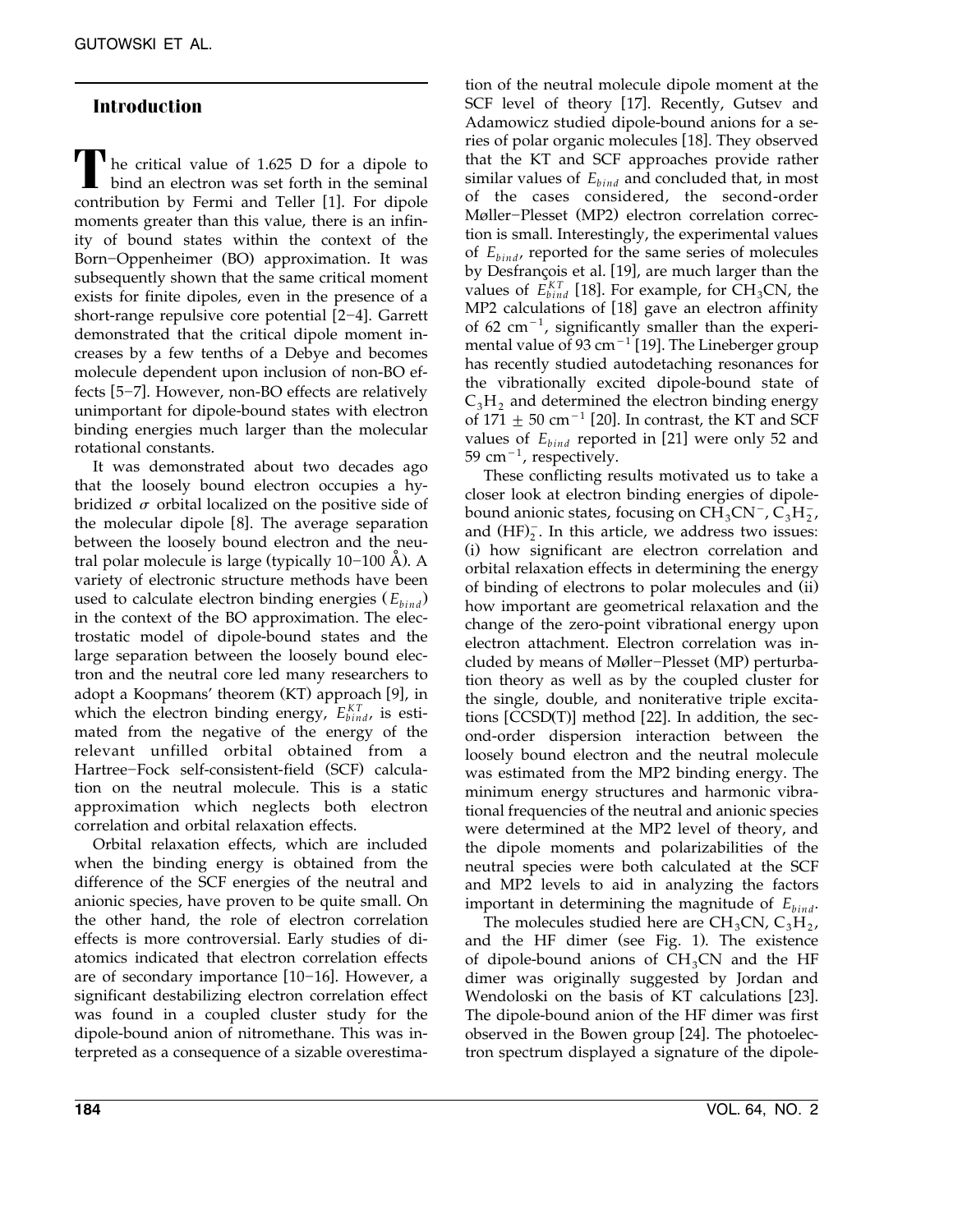# **Introduction**

**The critical value of 1.625 D for a dipole to D** bind an electron was set forth in the seminal contribution by Fermi and Teller [1]. For dipole moments greater than this value, there is an infinity of bound states within the context of the Born-Oppenheimer (BO) approximation. It was subsequently shown that the same critical moment exists for finite dipoles, even in the presence of a short-range repulsive core potential  $[2-4]$ . Garrett demonstrated that the critical dipole moment increases by a few tenths of a Debye and becomes molecule dependent upon inclusion of non-BO effects [5-7]. However, non-BO effects are relatively unimportant for dipole-bound states with electron binding energies much larger than the molecular rotational constants.

It was demonstrated about two decades ago that the loosely bound electron occupies a hybridized  $\sigma$  orbital localized on the positive side of the molecular dipole  $[8]$ . The average separation between the loosely bound electron and the neutral polar molecule is large (typically  $10-100$  Å). A variety of electronic structure methods have been used to calculate electron binding energies  $(E_{bind})$ in the context of the BO approximation. The electrostatic model of dipole-bound states and the large separation between the loosely bound electron and the neutral core led many researchers to adopt a Koopmans' theorem (KT) approach [9], in which the electron binding energy,  $E_{bind}^{KT}$ , is estimated from the negative of the energy of the relevant unfilled orbital obtained from a Hartree-Fock self-consistent-field (SCF) calculation on the neutral molecule. This is a static approximation which neglects both electron correlation and orbital relaxation effects.

Orbital relaxation effects, which are included when the binding energy is obtained from the difference of the SCF energies of the neutral and anionic species, have proven to be quite small. On the other hand, the role of electron correlation effects is more controversial. Early studies of diatomics indicated that electron correlation effects are of secondary importance  $[10-16]$ . However, a significant destabilizing electron correlation effect was found in a coupled cluster study for the dipole-bound anion of nitromethane. This was interpreted as a consequence of a sizable overestima-

tion of the neutral molecule dipole moment at the SCF level of theory [17]. Recently, Gutsev and Adamowicz studied dipole-bound anions for a series of polar organic molecules [18]. They observed that the KT and SCF approaches provide rather similar values of  $E_{bind}$  and concluded that, in most of the cases considered, the second-order Møller-Plesset (MP2) electron correlation correction is small. Interestingly, the experimental values of  $E_{bind}$ , reported for the same series of molecules by Desfrançois et al. [19], are much larger than the values of  $E_{bind}^{KT}$  [18]. For example, for  $CH_3CN$ , the  $MP2$  calculations of [18] gave an electron affinity of 62 cm<sup>-1</sup>, significantly smaller than the experimental value of 93 cm<sup> $-1$ </sup> [19]. The Lineberger group has recently studied autodetaching resonances for the vibrationally excited dipole-bound state of C<sub>3</sub>H<sub>2</sub> and determined the electron binding energy of 171  $\pm$  50 cm<sup>-1</sup> [20]. In contrast, the KT and SCF values of  $E_{bind}$  reported in [21] were only 52 and 59 cm $^{-1}$ , respectively.

These conflicting results motivated us to take a closer look at electron binding energies of dipolebound anionic states, focusing on  $CH_3CN^-$ ,  $C_3H_2^-$ , and  $(HF)_2$ . In this article, we address two issues: (i) how significant are electron correlation and orbital relaxation effects in determining the energy of binding of electrons to polar molecules and (ii) how important are geometrical relaxation and the change of the zero-point vibrational energy upon electron attachment. Electron correlation was included by means of Møller-Plesset (MP) perturbation theory as well as by the coupled cluster for the single, double, and noniterative triple excitations  $[CCSD(T)]$  method  $[22]$ . In addition, the second-order dispersion interaction between the loosely bound electron and the neutral molecule was estimated from the MP2 binding energy. The minimum energy structures and harmonic vibrational frequencies of the neutral and anionic species were determined at the MP2 level of theory, and the dipole moments and polarizabilities of the neutral species were both calculated at the SCF and MP2 levels to aid in analyzing the factors important in determining the magnitude of  $E_{bind}$ .

The molecules studied here are  $CH<sub>3</sub>CN, C<sub>3</sub>H<sub>2</sub>$ , and the HF dimer (see Fig. 1). The existence of dipole-bound anions of  $CH<sub>3</sub>CN$  and the HF dimer was originally suggested by Jordan and Wendoloski on the basis of KT calculations [23]. The dipole-bound anion of the HF dimer was first observed in the Bowen group [24]. The photoelectron spectrum displayed a signature of the dipole-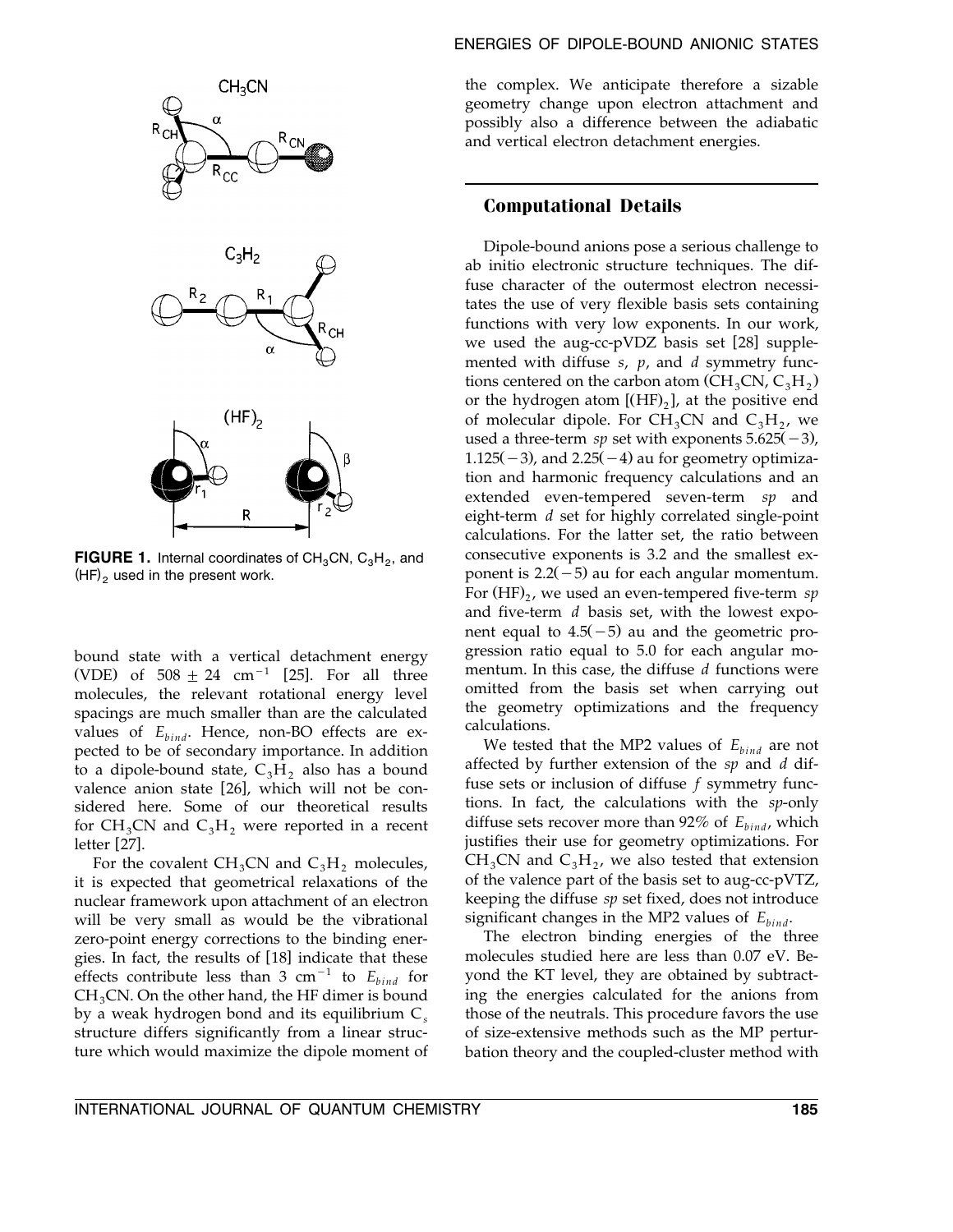

**FIGURE 1.** Internal coordinates of  $CH<sub>3</sub>CN, C<sub>3</sub>H<sub>2</sub>$ , and  $(HF)$ <sub>2</sub> used in the present work.

bound state with a vertical detachment energy (VDE) of  $508 \pm 24$  cm<sup>-1</sup> [25]. For all three molecules, the relevant rotational energy level spacings are much smaller than are the calculated values of  $E_{bind}$ . Hence, non-BO effects are expected to be of secondary importance. In addition to a dipole-bound state,  $C_3H_2$ , also has a bound valence anion state [26], which will not be considered here. Some of our theoretical results for  $CH_3CN$  and  $C_3H_2$  were reported in a recent letter [27].

For the covalent  $CH_3CN$  and  $C_3H_2$  molecules, it is expected that geometrical relaxations of the nuclear framework upon attachment of an electron will be very small as would be the vibrational zero-point energy corrections to the binding energies. In fact, the results of [18] indicate that these effects contribute less than 3 cm<sup>-1</sup> to  $E_{bind}$  for  $CH<sub>3</sub>CN$ . On the other hand, the HF dimer is bound by a weak hydrogen bond and its equilibrium C*<sup>s</sup>* structure differs significantly from a linear structure which would maximize the dipole moment of

#### ENERGIES OF DIPOLE-BOUND ANIONIC STATES

the complex. We anticipate therefore a sizable geometry change upon electron attachment and possibly also a difference between the adiabatic and vertical electron detachment energies.

#### **Computational Details**

Dipole-bound anions pose a serious challenge to ab initio electronic structure techniques. The diffuse character of the outermost electron necessitates the use of very flexible basis sets containing functions with very low exponents. In our work, we used the aug-cc-pVDZ basis set  $[28]$  supplemented with diffuse *s*, *p*, and *d* symmetry functions centered on the carbon atom (CH<sub>3</sub>CN,  $C_3H_2$ ) or the hydrogen atom  $[(HF)_2]$ , at the positive end of molecular dipole. For  $CH_3CN$  and  $C_3H_2$ , we used a three-term *sp* set with exponents  $5.625(-3)$ ,  $1.125(-3)$ , and  $2.25(-4)$  au for geometry optimization and harmonic frequency calculations and an extended even-tempered seven-term *sp* and eight-term *d* set for highly correlated single-point calculations. For the latter set, the ratio between consecutive exponents is 3.2 and the smallest exponent is  $2.2(-5)$  au for each angular momentum. For (HF)<sub>2</sub>, we used an even-tempered five-term sp and five-term *d* basis set, with the lowest exponent equal to  $4.5(-5)$  au and the geometric progression ratio equal to 5.0 for each angular momentum. In this case, the diffuse *d* functions were omitted from the basis set when carrying out the geometry optimizations and the frequency calculations.

We tested that the MP2 values of  $E_{bind}$  are not affected by further extension of the *sp* and *d* diffuse sets or inclusion of diffuse *f* symmetry functions. In fact, the calculations with the *sp*-only diffuse sets recover more than 92% of  $E_{bind}$ , which justifies their use for geometry optimizations. For  $CH<sub>3</sub>CN$  and  $C<sub>3</sub>H<sub>2</sub>$ , we also tested that extension of the valence part of the basis set to aug-cc-pVTZ, keeping the diffuse *sp* set fixed, does not introduce significant changes in the MP2 values of  $E_{bind}$ .

The electron binding energies of the three molecules studied here are less than 0.07 eV. Beyond the KT level, they are obtained by subtracting the energies calculated for the anions from those of the neutrals. This procedure favors the use of size-extensive methods such as the MP perturbation theory and the coupled-cluster method with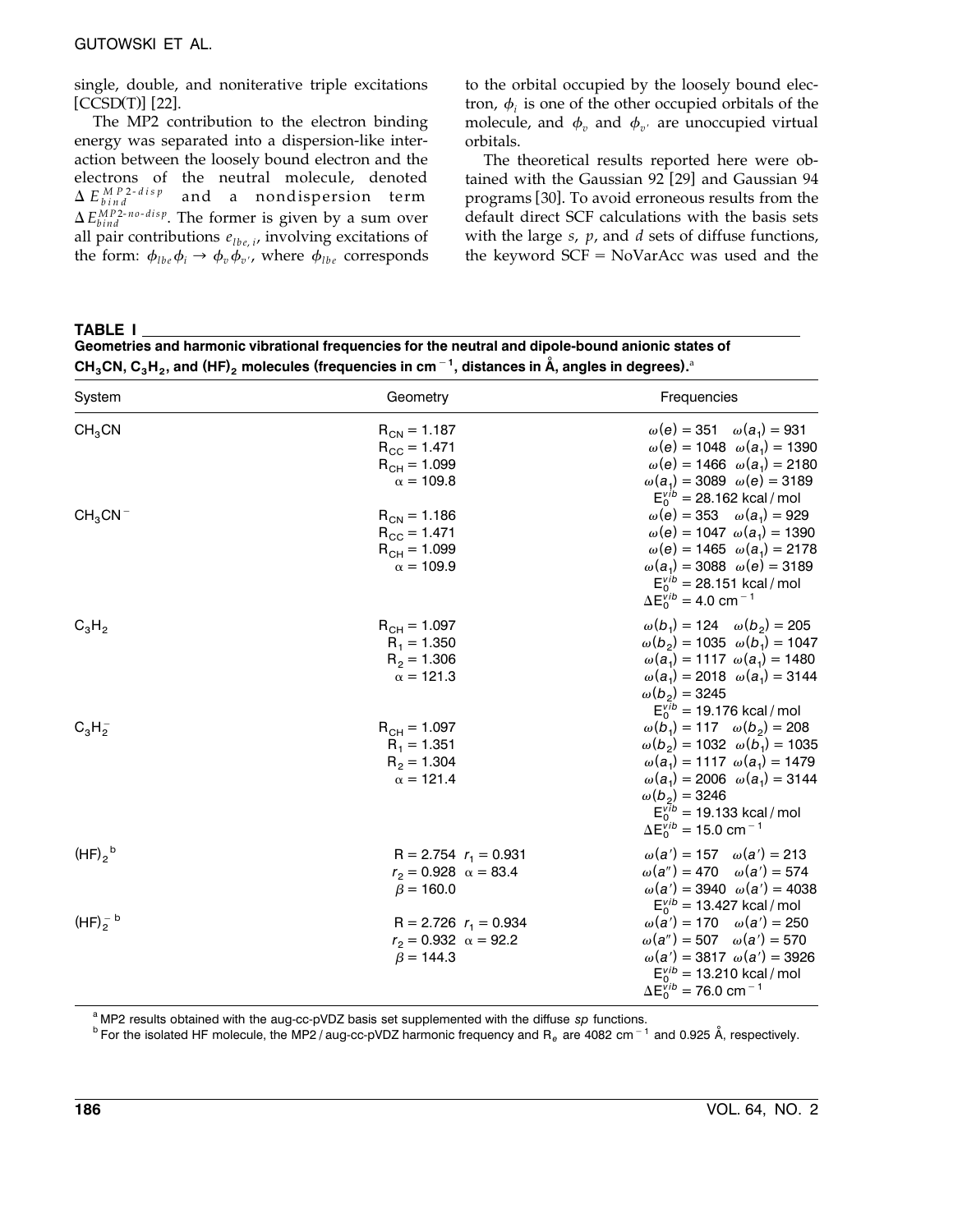single, double, and noniterative triple excitations  $[CCSD(T)]$   $[22]$ .

The MP2 contribution to the electron binding energy was separated into a dispersion-like interaction between the loosely bound electron and the electrons of the neutral molecule, denoted  $\Delta E_{bind}^{MP2-disp}$  and a nondispersion term  $\Delta E_{bind}^{MP2-no-disp}$ . The former is given by a sum over all pair contributions  $e_{lbe,i}$ , involving excitations of the form:  $\phi_{lbe} \phi_i \rightarrow \phi_n \phi_{n'}$ , where  $\phi_{lbe}$  corresponds to the orbital occupied by the loosely bound electron,  $\phi_i$  is one of the other occupied orbitals of the molecule, and  $\phi_v$  and  $\phi_{v'}$  are unoccupied virtual orbitals.

The theoretical results reported here were obtained with the Gaussian 92 [29] and Gaussian 94 programs [30]. To avoid erroneous results from the default direct SCF calculations with the basis sets with the large *s*, *p*, and *d* sets of diffuse functions, the keyword  $SCF = NoVarAcc$  was used and the

**TABLE I**

| Geometries and harmonic vibrational frequencies for the neutral and dipole-bound anionic states of                                                                      |  |
|-------------------------------------------------------------------------------------------------------------------------------------------------------------------------|--|
| CH <sub>3</sub> CN, C <sub>3</sub> H <sub>2</sub> , and (HF) <sub>2</sub> molecules (frequencies in cm <sup>-1</sup> , distances in Å, angles in degrees). <sup>a</sup> |  |

| System             | Geometry                                                                            | Frequencies                                                                                                                                                                                                                                                                                          |
|--------------------|-------------------------------------------------------------------------------------|------------------------------------------------------------------------------------------------------------------------------------------------------------------------------------------------------------------------------------------------------------------------------------------------------|
| CH <sub>3</sub> CN | $R_{CN} = 1.187$<br>$R_{\text{CC}} = 1.471$<br>$R_{CH} = 1.099$<br>$\alpha = 109.8$ | $ω(e) = 351$ $ω(a_1) = 931$<br>$\omega(e) = 1048 \ \omega(a_1) = 1390$<br>$\omega(e) = 1466 \omega(a_1) = 2180$<br>$\omega(a_1) = 3089 \omega(e) = 3189$<br>$E_0^{\text{vib}} = 28.162 \text{ kcal/mol}$                                                                                             |
| $CH_3CN^-$         | $R_{CN} = 1.186$<br>$R_{CC} = 1.471$<br>$R_{CH} = 1.099$<br>$\alpha = 109.9$        | $ω(e) = 353$ $ω(a_1) = 929$<br>$\omega(e) = 1047 \omega(a_1) = 1390$<br>$\omega(e) = 1465 \omega(a_1) = 2178$<br>$\omega(a_1) = 3088 \ \omega(e) = 3189$<br>$E_0^{\text{Vib}} = 28.151 \text{ kcal/mol}$<br>$\Delta E_0^{\text{vib}} = 4.0 \text{ cm}^{-1}$                                          |
| $C_3H_2$           | $R_{CH} = 1.097$<br>$R_1 = 1.350$<br>$R_2 = 1.306$<br>$\alpha = 121.3$              | $\omega(b_1) = 124 \quad \omega(b_2) = 205$<br>$\omega(b_2) = 1035 \omega(b_1) = 1047$<br>$\omega(a_1) = 1117 \omega(a_1) = 1480$<br>$\omega(a_1) = 2018 \omega(a_1) = 3144$<br>$\omega(b_2) = 3245$<br>$E_0^{\text{vib}} = 19.176 \text{ kcal/mol}$                                                 |
| $C_3H_2^-$         | $R_{CH} = 1.097$<br>$R_1 = 1.351$<br>$R_2 = 1.304$<br>$\alpha = 121.4$              | $\omega(b_1) = 117 \quad \omega(b_2) = 208$<br>$\omega(b_2) = 1032 \ \omega(b_1) = 1035$<br>$\omega(a_1) = 1117 \omega(a_1) = 1479$<br>$\omega(a_1) = 2006 \omega(a_1) = 3144$<br>$\omega(b_2) = 3246$<br>$E_0^{\text{vib}} = 19.133 \text{ kcal/mol}$<br>$\Delta E_0^{vib} = 15.0$ cm <sup>-1</sup> |
| $(HF)_{2}^{b}$     | R = 2.754 $r_1$ = 0.931<br>$r_2 = 0.928 \alpha = 83.4$<br>$\beta = 160.0$           | $\omega(a') = 157 \quad \omega(a') = 213$<br>$\omega(a'') = 470 \quad \omega(a') = 574$<br>$\omega(a') = 3940 \omega(a') = 4038$<br>$E_0^{\text{vib}} = 13.427$ kcal / mol                                                                                                                           |
| $(HF)2$ b          | R = 2.726 $r_1$ = 0.934<br>$r_2 = 0.932 \alpha = 92.2$<br>$\beta = 144.3$           | $\omega(a') = 170 \quad \omega(a') = 250$<br>$\omega(a'') = 507 \quad \omega(a') = 570$<br>$\omega(a') = 3817 \omega(a') = 3926$<br>$E_0^{\text{vib}} = 13.210 \text{ kcal/mol}$<br>$\Delta E_0^{\text{vib}} = 76.0 \text{ cm}^{-1}$                                                                 |

<sup>a</sup> MP2 results obtained with the aug-cc-pVDZ basis set supplemented with the diffuse *sp* functions.<br><sup>b</sup> For the isolated HF molecule, the MP2 / aug-cc-pVDZ harmonic frequency and R<sub>e</sub> are 4082 cm<sup>-1</sup> and 0.925 Å, respec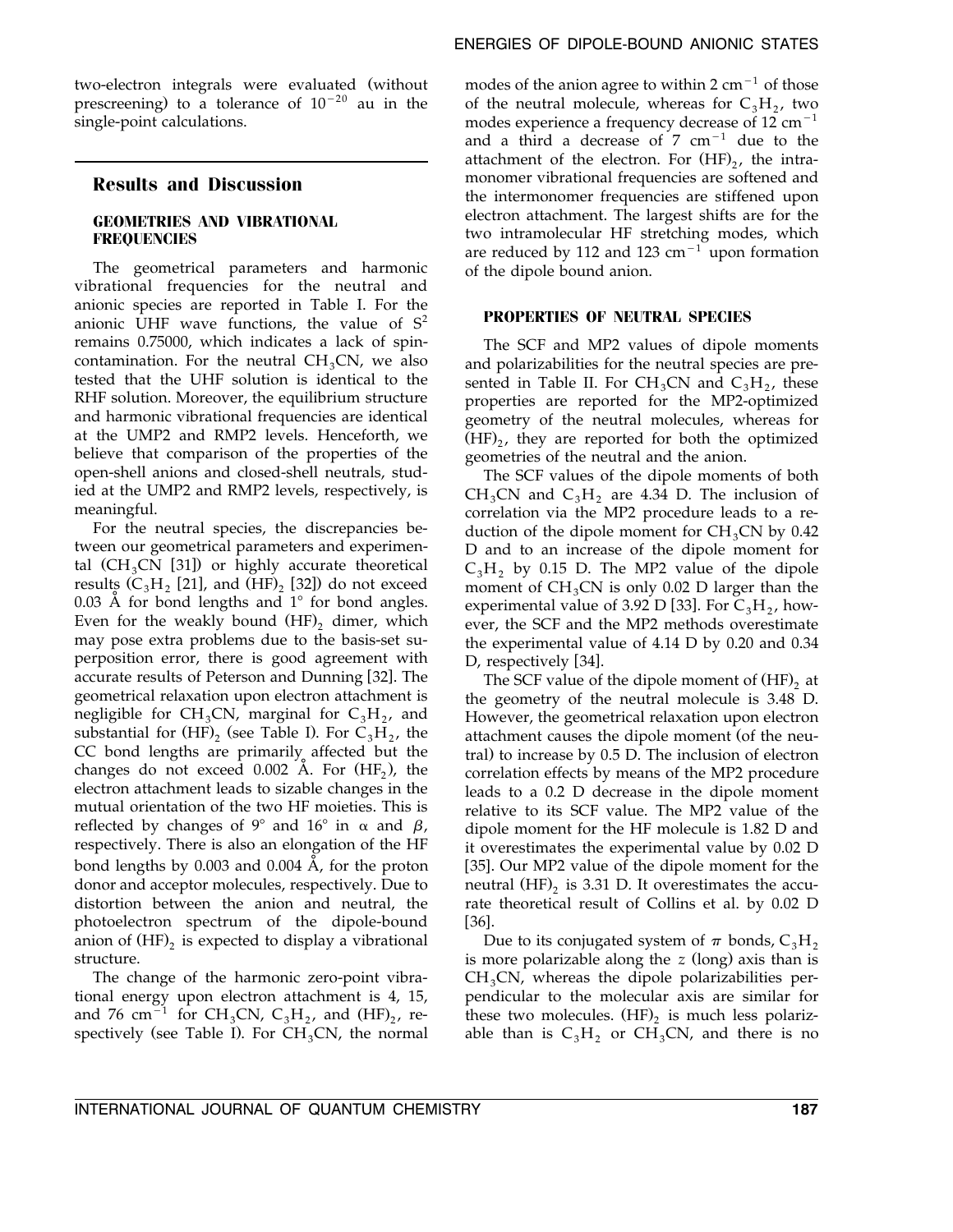two-electron integrals were evaluated (without prescreening) to a tolerance of  $10^{-20}$  au in the single-point calculations.

# **Results and Discussion**

#### **GEOMETRIES AND VIBRATIONAL FREQUENCIES**

The geometrical parameters and harmonic vibrational frequencies for the neutral and anionic species are reported in Table I. For the anionic UHF wave functions, the value of  $S<sup>2</sup>$ remains 0.75000, which indicates a lack of spincontamination. For the neutral  $CH<sub>3</sub>CN$ , we also tested that the UHF solution is identical to the RHF solution. Moreover, the equilibrium structure and harmonic vibrational frequencies are identical at the UMP2 and RMP2 levels. Henceforth, we believe that comparison of the properties of the open-shell anions and closed-shell neutrals, studied at the UMP2 and RMP2 levels, respectively, is meaningful.

For the neutral species, the discrepancies between our geometrical parameters and experimental  $(CH_3CN [31])$  or highly accurate theoretical results  $(C_3H_2$  [21], and  $(\overline{HF})_2$  [32]) do not exceed 0.03  $\AA$  for bond lengths and 1 $\degree$  for bond angles. Even for the weakly bound  $(HF)$ , dimer, which may pose extra problems due to the basis-set superposition error, there is good agreement with accurate results of Peterson and Dunning [32]. The geometrical relaxation upon electron attachment is negligible for CH<sub>3</sub>CN, marginal for  $C_3H_2$ , and substantial for  $(HF)$ , (see Table I). For  $C_3H_2$ , the CC bond lengths are primarily affected but the changes do not exceed  $0.002$  Å. For  $(HF_2)$ , the electron attachment leads to sizable changes in the mutual orientation of the two HF moieties. This is reflected by changes of 9° and 16° in  $\alpha$  and  $\beta$ , respectively. There is also an elongation of the HF bond lengths by 0.003 and 0.004  $\AA$ , for the proton donor and acceptor molecules, respectively. Due to distortion between the anion and neutral, the photoelectron spectrum of the dipole-bound anion of  $(HF)$ , is expected to display a vibrational structure.

The change of the harmonic zero-point vibrational energy upon electron attachment is 4, 15, and 76 cm<sup>-1</sup> for CH<sub>3</sub>CN, C<sub>3</sub>H<sub>2</sub>, and (HF)<sub>2</sub>, respectively (see Table I). For  $CH<sub>3</sub>CN$ , the normal

modes of the anion agree to within  $2 \text{ cm}^{-1}$  of those of the neutral molecule, whereas for  $C_3H_2$ , two modes experience a frequency decrease of  $12 \text{ cm}^{-1}$ and a third a decrease of  $7 \text{ cm}^{-1}$  due to the attachment of the electron. For  $(HF)_{2}$ , the intramonomer vibrational frequencies are softened and the intermonomer frequencies are stiffened upon electron attachment. The largest shifts are for the two intramolecular HF stretching modes, which are reduced by 112 and 123  $cm^{-1}$  upon formation of the dipole bound anion.

#### **PROPERTIES OF NEUTRAL SPECIES**

The SCF and MP2 values of dipole moments and polarizabilities for the neutral species are presented in Table II. For  $CH_3CN$  and  $C_3H_2$ , these properties are reported for the MP2-optimized geometry of the neutral molecules, whereas for  $(HF)_{2}$ , they are reported for both the optimized geometries of the neutral and the anion.

The SCF values of the dipole moments of both  $CH<sub>3</sub>CN$  and  $C<sub>3</sub>H<sub>2</sub>$  are 4.34 D. The inclusion of correlation via the MP2 procedure leads to a reduction of the dipole moment for  $CH<sub>3</sub>CN$  by 0.42 D and to an increase of the dipole moment for  $C_3H_2$  by 0.15 D. The MP2 value of the dipole moment of  $CH<sub>3</sub>CN$  is only 0.02 D larger than the experimental value of 3.92 D [33]. For  $C_3H_2$ , however, the SCF and the MP2 methods overestimate the experimental value of 4.14 D by 0.20 and 0.34 D, respectively [34].

The SCF value of the dipole moment of  $(HF)$ <sub>2</sub> at the geometry of the neutral molecule is 3.48 D. However, the geometrical relaxation upon electron attachment causes the dipole moment (of the neutral) to increase by  $0.5$  D. The inclusion of electron correlation effects by means of the MP2 procedure leads to a 0.2 D decrease in the dipole moment relative to its SCF value. The MP2 value of the dipole moment for the HF molecule is 1.82 D and it overestimates the experimental value by 0.02 D [35]. Our MP2 value of the dipole moment for the neutral  $(HF)$ , is 3.31 D. It overestimates the accurate theoretical result of Collins et al. by 0.02 D  $[36]$ .

Due to its conjugated system of  $\pi$  bonds, C<sub>3</sub>H<sub>2</sub> is more polarizable along the *z* (long) axis than is  $CH<sub>3</sub>CN$ , whereas the dipole polarizabilities perpendicular to the molecular axis are similar for these two molecules.  $(HF)$ , is much less polarizable than is  $C_3H_2$  or CH<sub>3</sub>CN, and there is no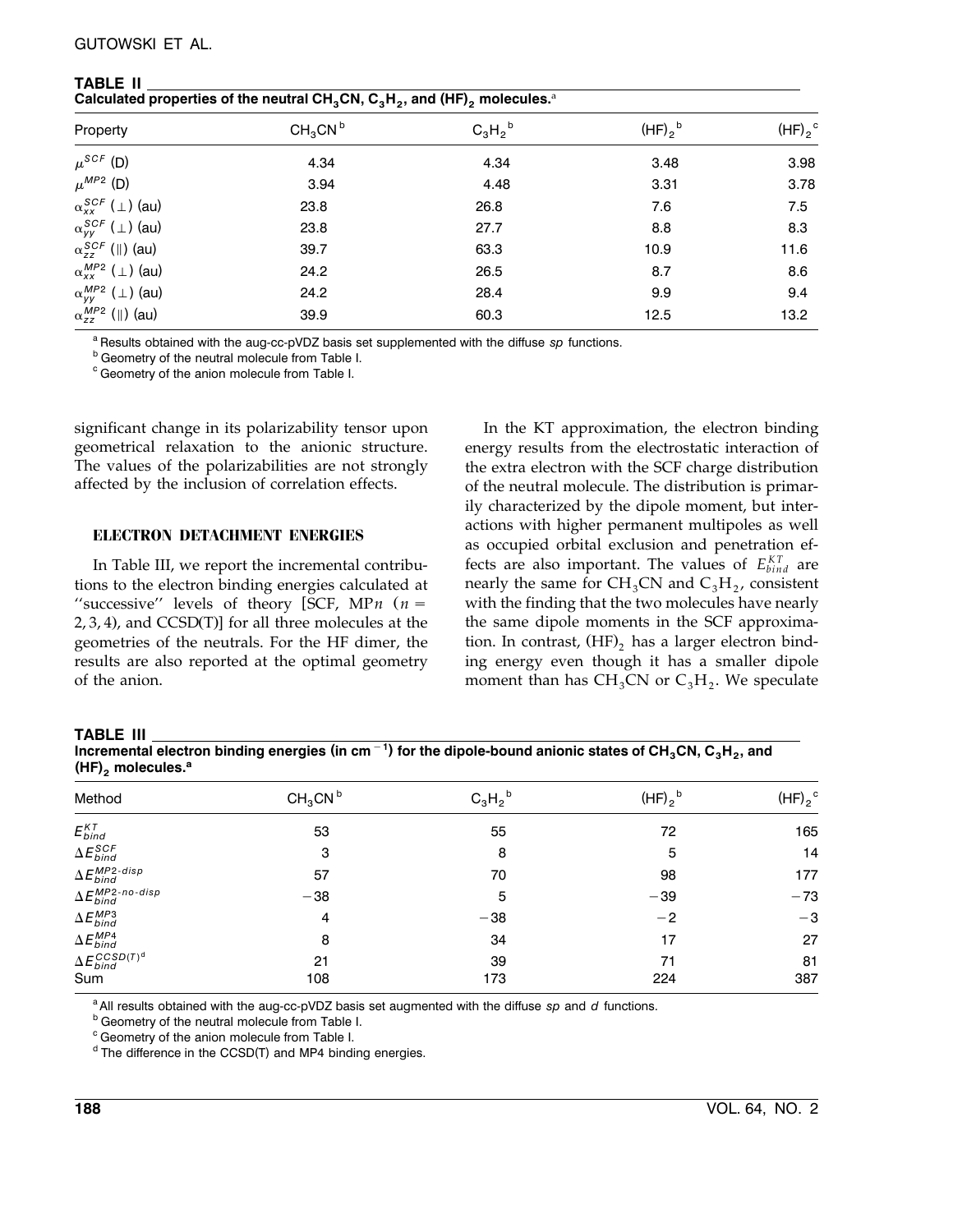# GUTOWSKI ET AL.

**TABLE II**

| Calculated properties of the neutral CH <sub>3</sub> CN, C <sub>3</sub> H <sub>2</sub> , and (HF) <sub>2</sub> molecules. <sup>a</sup> |                                 |            |                |                |  |  |  |
|----------------------------------------------------------------------------------------------------------------------------------------|---------------------------------|------------|----------------|----------------|--|--|--|
| Property                                                                                                                               | CH <sub>3</sub> CN <sup>b</sup> | $C_3H_2^b$ | $(HF)_{2}^{b}$ | $(HF)_{2}^{C}$ |  |  |  |
| $\mu^{SCF}$ (D)                                                                                                                        | 4.34                            | 4.34       | 3.48           | 3.98           |  |  |  |
| $\mu^{MP2}$ (D)                                                                                                                        | 3.94                            | 4.48       | 3.31           | 3.78           |  |  |  |
| $\alpha_{xx}^{SCF}$ ( $\perp$ ) (au)                                                                                                   | 23.8                            | 26.8       | 7.6            | 7.5            |  |  |  |
| $\alpha_{VV}^{SCF}$ ( $\perp$ ) (au)                                                                                                   | 23.8                            | 27.7       | 8.8            | 8.3            |  |  |  |
| $\alpha_{zz}^{SCF}$ (  ) (au)                                                                                                          | 39.7                            | 63.3       | 10.9           | 11.6           |  |  |  |
| $\alpha_{xx}^{MP2}$ ( $\perp$ ) (au)                                                                                                   | 24.2                            | 26.5       | 8.7            | 8.6            |  |  |  |
| $\alpha_{VV}^{MP2}$ ( $\perp$ ) (au)                                                                                                   | 24.2                            | 28.4       | 9.9            | 9.4            |  |  |  |
| $\alpha_{zz}^{MP2}$ (  ) (au)                                                                                                          | 39.9                            | 60.3       | 12.5           | 13.2           |  |  |  |

<sup>a</sup> Results obtained with the aug-cc-pVDZ basis set supplemented with the diffuse *sp* functions.<br><sup>b</sup> Geometry of the neutral molecule from Table I.

<sup>c</sup> Geometry of the anion molecule from Table I.

significant change in its polarizability tensor upon geometrical relaxation to the anionic structure. The values of the polarizabilities are not strongly affected by the inclusion of correlation effects.

#### **ELECTRON DETACHMENT ENERGIES**

In Table III, we report the incremental contributions to the electron binding energies calculated at "successive" levels of theory [SCF, MP $n(n =$  $2, 3, 4$ ), and CCSD(T)] for all three molecules at the geometries of the neutrals. For the HF dimer, the results are also reported at the optimal geometry of the anion.

In the KT approximation, the electron binding energy results from the electrostatic interaction of the extra electron with the SCF charge distribution of the neutral molecule. The distribution is primarily characterized by the dipole moment, but interactions with higher permanent multipoles as well as occupied orbital exclusion and penetration effects are also important. The values of  $E_{bind}^{KT}$  are nearly the same for  $CH_3CN$  and  $C_3H_2$ , consistent with the finding that the two molecules have nearly the same dipole moments in the SCF approximation. In contrast,  $(HF)$ , has a larger electron binding energy even though it has a smaller dipole moment than has  $CH_3CN$  or  $C_3H_2$ . We speculate

#### **TABLE III**

 $\int$  Incremental electron binding energies (in cm<sup>-1</sup>) for the dipole-bound anionic states of CH<sub>3</sub>CN, C<sub>3</sub>H<sub>2</sub>, and<br>(HF)<sub>2</sub> molecules.<sup>a</sup>

| Method                             | $CH_3CN^b$ | $C_3H_2^b$ | $(HF)2$ <sub>b</sub> | (HF) <sub>2</sub> |
|------------------------------------|------------|------------|----------------------|-------------------|
| $E^{\scriptscriptstyle KT}_{bind}$ | 53         | 55         | 72                   | 165               |
| $\Delta E_{bind}^{SCF}$            | 3          | 8          | 5                    | 14                |
| $\Delta E_{bind}^{MP2-disp}$       | 57         | 70         | 98                   | 177               |
| $\Delta E_{bind}^{MP2-no-disp}$    | $-38$      | 5          | $-39$                | $-73$             |
| $\Delta E_{bind}^{MP3}$            | 4          | $-38$      | $-2$                 | $-3$              |
| $\Delta E_{bind}^{MP4}$            | 8          | 34         | 17                   | 27                |
| $\Delta E_{bind}^{CCSD(T)^d}$      | 21         | 39         | 71                   | 81                |
| Sum                                | 108        | 173        | 224                  | 387               |
|                                    |            |            |                      |                   |

<sup>a</sup> All results obtained with the aug-cc-pVDZ basis set augmented with the diffuse *sp* and *d* functions.<br><sup>b</sup> Geometry of the neutral molecule from Table I.

<sup>c</sup> Geometry of the anion molecule from Table I.

 $d$  The difference in the CCSD(T) and MP4 binding energies.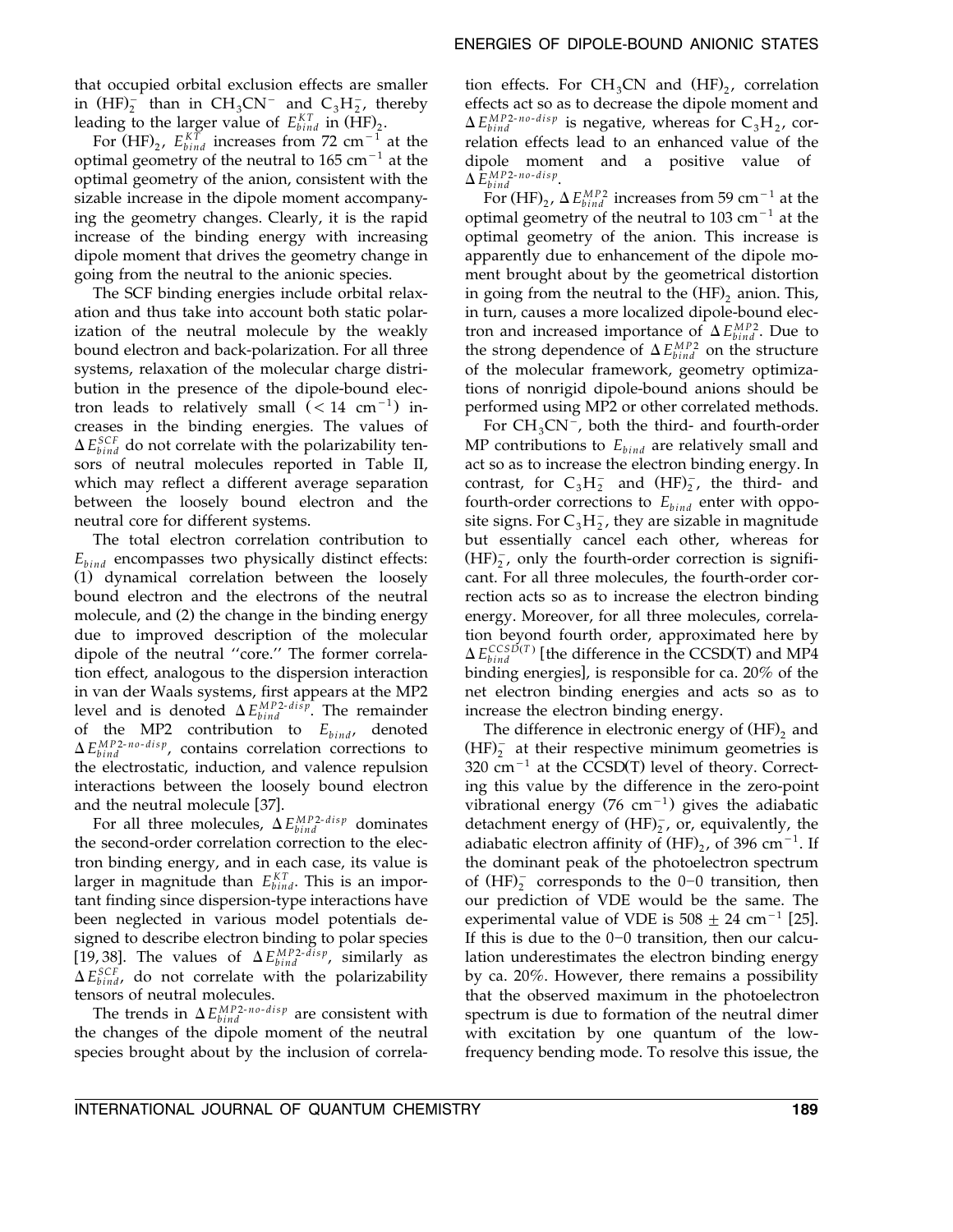that occupied orbital exclusion effects are smaller in  $(HF)_2^-$  than in  $CH_3CN^-$  and  $C_3H_2^-$ , thereby leading to the larger value of  $E_{bind}^{KT}$  in  $(HF)_{2}$ .

For  $(HF)_{2}$ ,  $E_{bind}^{KT}$  increases from 72 cm<sup>-1</sup> at the optimal geometry of the neutral to  $165 \text{ cm}^{-1}$  at the optimal geometry of the anion, consistent with the sizable increase in the dipole moment accompanying the geometry changes. Clearly, it is the rapid increase of the binding energy with increasing dipole moment that drives the geometry change in going from the neutral to the anionic species.

The SCF binding energies include orbital relaxation and thus take into account both static polarization of the neutral molecule by the weakly bound electron and back-polarization. For all three systems, relaxation of the molecular charge distribution in the presence of the dipole-bound electron leads to relatively small  $(< 14$  cm<sup>-1</sup>) increases in the binding energies. The values of  $\Delta E_{bind}^{SCF}$  do not correlate with the polarizability tensors of neutral molecules reported in Table II, which may reflect a different average separation between the loosely bound electron and the neutral core for different systems.

The total electron correlation contribution to  $E_{bind}$  encompasses two physically distinct effects: (1) dynamical correlation between the loosely bound electron and the electrons of the neutral molecule, and (2) the change in the binding energy due to improved description of the molecular dipole of the neutral ''core.'' The former correlation effect, analogous to the dispersion interaction in van der Waals systems, first appears at the MP2 level and is denoted  $\Delta E_{bind}^{MP2-di\hat{sp}}$ . The remainder of the MP2 contribution to  $E_{bind}$ , denoted  $\Delta E_{bind}^{MP2-no-disp}$ , contains correlation corrections to the electrostatic, induction, and valence repulsion interactions between the loosely bound electron and the neutral molecule [37].

For all three molecules,  $\Delta E_{bind}^{MP2-disp}$  dominates the second-order correlation correction to the electron binding energy, and in each case, its value is larger in magnitude than  $E_{bind}^{KT}$ . This is an important finding since dispersion-type interactions have been neglected in various model potentials designed to describe electron binding to polar species [19,38]. The values of  $\Delta E_{bind}^{MP2 \text{-}disp}$ , similarly as  $\Delta E_{bind}^{SCF}$ , do not correlate with the polarizability tensors of neutral molecules.

The trends in  $\Delta E_{bind}^{MP2-no-disp}$  are consistent with the changes of the dipole moment of the neutral species brought about by the inclusion of correla-

tion effects. For  $CH_3CN$  and  $(HF)_2$ , correlation effects act so as to decrease the dipole moment and  $\Delta E_{bind}^{MP2-no-disp}$  is negative, whereas for  $C_3H_2$ , correlation effects lead to an enhanced value of the dipole moment and a positive value of  $\Delta E_{bind}^{MP2-no-disp}$ .

For  $(HF)_{2}$ ,  $\Delta E_{bind}^{MP2}$  increases from 59 cm<sup>-1</sup> at the optimal geometry of the neutral to  $103 \text{ cm}^{-1}$  at the optimal geometry of the anion. This increase is apparently due to enhancement of the dipole moment brought about by the geometrical distortion in going from the neutral to the  $(HF)$ , anion. This, in turn, causes a more localized dipole-bound electron and increased importance of  $\Delta E_{bind}^{MP2}$ . Due to the strong dependence of  $\Delta E_{bind}^{MP2}$  on the structure of the molecular framework, geometry optimizations of nonrigid dipole-bound anions should be performed using MP2 or other correlated methods.

For  $CH_3CN^-$ , both the third- and fourth-order MP contributions to  $E_{bind}$  are relatively small and act so as to increase the electron binding energy. In contrast, for  $C_3H_2^-$  and  $(HF)_2^-$ , the third- and fourth-order corrections to  $E_{bind}$  enter with opposite signs. For  $C_3H_2^-$ , they are sizable in magnitude but essentially cancel each other, whereas for  $(HF)_{2}^{-}$ , only the fourth-order correction is significant. For all three molecules, the fourth-order correction acts so as to increase the electron binding energy. Moreover, for all three molecules, correlation beyond fourth order, approximated here by  $\Delta E_{bind}^{CCSD(T)}$  [the difference in the CCSD(T) and MP4 binding energies], is responsible for ca.  $20\%$  of the net electron binding energies and acts so as to increase the electron binding energy.

The difference in electronic energy of  $(HF)$ <sub>2</sub> and  $(HF)_{2}^{-}$  at their respective minimum geometries is  $320 \text{ cm}^{-1}$  at the CCSD(T) level of theory. Correcting this value by the difference in the zero-point vibrational energy (76 cm<sup>-1</sup>) gives the adiabatic detachment energy of  $(HF)_2^-$ , or, equivalently, the adiabatic electron affinity of  $(HF)_{2}$ , of 396 cm<sup>-1</sup>. If the dominant peak of the photoelectron spectrum of  $(HF)$ <sup>-</sup> corresponds to the 0-0 transition, then our prediction of VDE would be the same. The experimental value of VDE is  $508 \pm 24$  cm<sup>-1</sup> [25]. If this is due to the  $0-0$  transition, then our calculation underestimates the electron binding energy by ca. 20%. However, there remains a possibility that the observed maximum in the photoelectron spectrum is due to formation of the neutral dimer with excitation by one quantum of the lowfrequency bending mode. To resolve this issue, the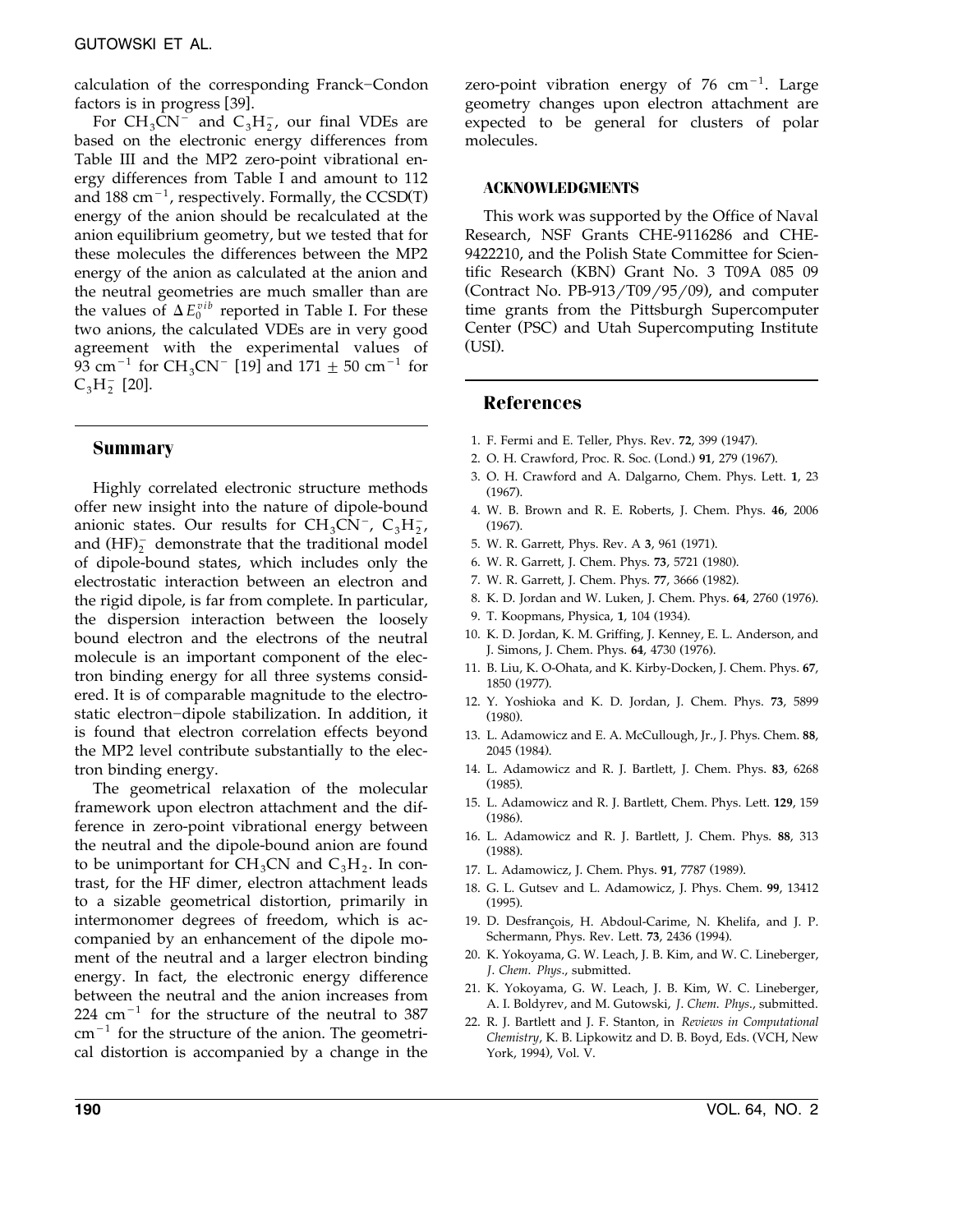calculation of the corresponding Franck-Condon factors is in progress  $[39]$ .

For  $CH_3CN^-$  and  $C_3H_2^-$ , our final VDEs are based on the electronic energy differences from Table III and the MP2 zero-point vibrational energy differences from Table I and amount to 112 and 188 cm<sup> $-1$ </sup>, respectively. Formally, the CCSD(T) energy of the anion should be recalculated at the anion equilibrium geometry, but we tested that for these molecules the differences between the MP2 energy of the anion as calculated at the anion and the neutral geometries are much smaller than are the values of  $\Delta E_0^{vib}$  reported in Table I. For these two anions, the calculated VDEs are in very good agreement with the experimental values of  $93 \text{ cm}^{-1}$  for CH<sub>3</sub>CN<sup>-</sup> [19] and 171  $\pm$  50 cm<sup>-1</sup> for  $C_3H_2^-$  [20].

# **Summary**

Highly correlated electronic structure methods offer new insight into the nature of dipole-bound anionic states. Our results for  $CH_3CN^-$ ,  $C_3H_2^-$ , and  $(HF)_2^-$  demonstrate that the traditional model of dipole-bound states, which includes only the electrostatic interaction between an electron and the rigid dipole, is far from complete. In particular, the dispersion interaction between the loosely bound electron and the electrons of the neutral molecule is an important component of the electron binding energy for all three systems considered. It is of comparable magnitude to the electrostatic electron-dipole stabilization. In addition, it is found that electron correlation effects beyond the MP2 level contribute substantially to the electron binding energy.

The geometrical relaxation of the molecular framework upon electron attachment and the difference in zero-point vibrational energy between the neutral and the dipole-bound anion are found to be unimportant for  $CH_3CN$  and  $C_3H_2$ . In contrast, for the HF dimer, electron attachment leads to a sizable geometrical distortion, primarily in intermonomer degrees of freedom, which is accompanied by an enhancement of the dipole moment of the neutral and a larger electron binding energy. In fact, the electronic energy difference between the neutral and the anion increases from  $224$  cm<sup>-1</sup> for the structure of the neutral to 387  $cm^{-1}$  for the structure of the anion. The geometrical distortion is accompanied by a change in the

zero-point vibration energy of  $76 \text{ cm}^{-1}$ . Large geometry changes upon electron attachment are expected to be general for clusters of polar molecules.

#### **ACKNOWLEDGMENTS**

This work was supported by the Office of Naval Research, NSF Grants CHE-9116286 and CHE-9422210, and the Polish State Committee for Scientific Research (KBN) Grant No. 3 T09A 085 09 (Contract No.  $PB-913/T09/95/09$ ), and computer time grants from the Pittsburgh Supercomputer Center (PSC) and Utah Supercomputing Institute  $(USI)$ .

# **References**

- 1. F. Fermi and E. Teller, Phys. Rev. 72, 399 (1947).
- 2. O. H. Crawford, Proc. R. Soc. (Lond.) 91, 279 (1967).
- 3. O. H. Crawford and A. Dalgarno, Chem. Phys. Lett. **1**, 23  $(1967)$ .
- 4. W. B. Brown and R. E. Roberts, J. Chem. Phys. **46**, 2006  $(1967)$ .
- 5. W. R. Garrett, Phys. Rev. A 3, 961 (1971).
- 6. W. R. Garrett, J. Chem. Phys. 73, 5721 (1980).
- 7. W. R. Garrett, J. Chem. Phys. 77, 3666 (1982).
- 8. K. D. Jordan and W. Luken, J. Chem. Phys. 64, 2760 (1976).
- 9. T. Koopmans, Physica, 1, 104 (1934).
- 10. K. D. Jordan, K. M. Griffing, J. Kenney, E. L. Anderson, and J. Simons, J. Chem. Phys. **64**, 4730 (1976).
- 11. B. Liu, K. O-Ohata, and K. Kirby-Docken, J. Chem. Phys. **67**, 1850 (1977).
- 12. Y. Yoshioka and K. D. Jordan, J. Chem. Phys. **73**, 5899  $(1980)$ .
- 13. L. Adamowicz and E. A. McCullough, Jr., J. Phys. Chem. **88**, 2045 (1984).
- 14. L. Adamowicz and R. J. Bartlett, J. Chem. Phys. **83**, 6268  $(1985)$ .
- 15. L. Adamowicz and R. J. Bartlett, Chem. Phys. Lett. **129**, 159  $(1986)$ .
- 16. L. Adamowicz and R. J. Bartlett, J. Chem. Phys. **88**, 313  $(1988)$ .
- 17. L. Adamowicz, J. Chem. Phys. 91, 7787 (1989).
- 18. G. L. Gutsev and L. Adamowicz, J. Phys. Chem. **99**, 13412  $(1995)$ .
- 19. D. Desfrançois, H. Abdoul-Carime, N. Khelifa, and J. P. Schermann, Phys. Rev. Lett. 73, 2436 (1994).
- 20. K. Yokoyama, G. W. Leach, J. B. Kim, and W. C. Lineberger, *J*. *Chem*. *Phys*., submitted.
- 21. K. Yokoyama, G. W. Leach, J. B. Kim, W. C. Lineberger, A. I. Boldyrev, and M. Gutowski, *J*. *Chem*. *Phys*., submitted.
- 22. R. J. Bartlett and J. F. Stanton, in *Reviews in Computational Chemistry, K. B. Lipkowitz and D. B. Boyd, Eds. (VCH, New* York, 1994), Vol. V.